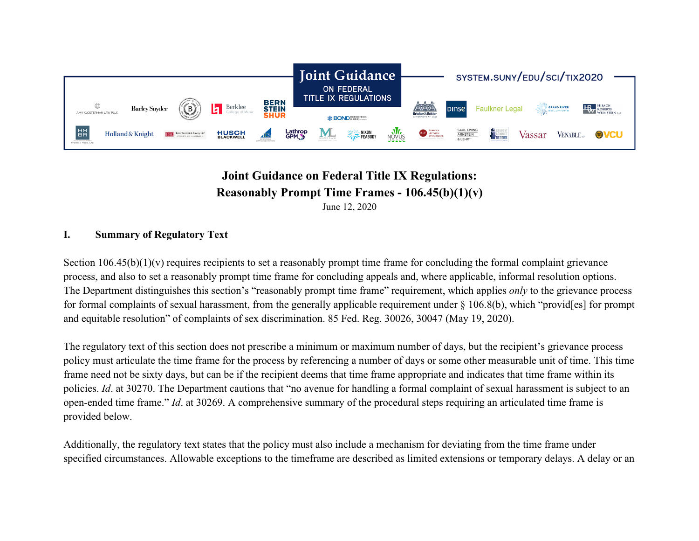

# **Joint Guidance on Federal Title IX Regulations: Reasonably Prompt Time Frames - 106.45(b)(1)(v)**

June 12, 2020

## **I. Summary of Regulatory Text**

Section 106.45(b)(1)(v) requires recipients to set a reasonably prompt time frame for concluding the formal complaint grievance process, and also to set a reasonably prompt time frame for concluding appeals and, where applicable, informal resolution options. The Department distinguishes this section's "reasonably prompt time frame" requirement, which applies *only* to the grievance process for formal complaints of sexual harassment, from the generally applicable requirement under § 106.8(b), which "provid[es] for prompt and equitable resolution" of complaints of sex discrimination. 85 Fed. Reg. 30026, 30047 (May 19, 2020).

The regulatory text of this section does not prescribe a minimum or maximum number of days, but the recipient's grievance process policy must articulate the time frame for the process by referencing a number of days or some other measurable unit of time. This time frame need not be sixty days, but can be if the recipient deems that time frame appropriate and indicates that time frame within its policies. *Id*. at 30270. The Department cautions that "no avenue for handling a formal complaint of sexual harassment is subject to an open-ended time frame." *Id*. at 30269. A comprehensive summary of the procedural steps requiring an articulated time frame is provided below.

Additionally, the regulatory text states that the policy must also include a mechanism for deviating from the time frame under specified circumstances. Allowable exceptions to the timeframe are described as limited extensions or temporary delays. A delay or an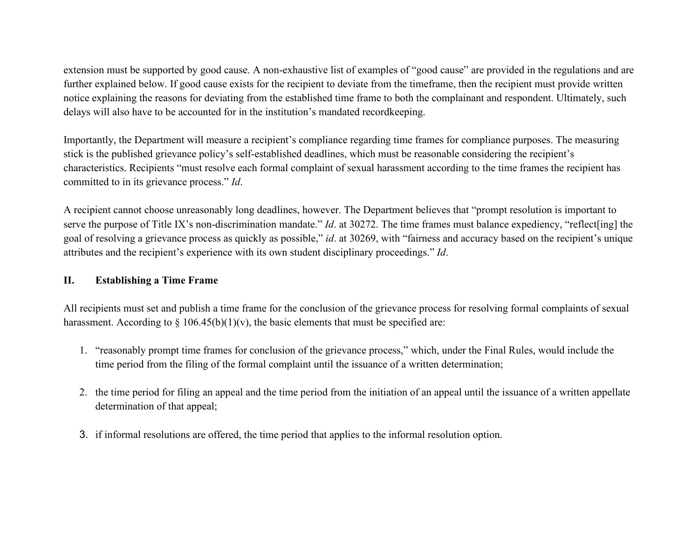extension must be supported by good cause. A non-exhaustive list of examples of "good cause" are provided in the regulations and are further explained below. If good cause exists for the recipient to deviate from the timeframe, then the recipient must provide written notice explaining the reasons for deviating from the established time frame to both the complainant and respondent. Ultimately, such delays will also have to be accounted for in the institution's mandated recordkeeping.

Importantly, the Department will measure a recipient's compliance regarding time frames for compliance purposes. The measuring stick is the published grievance policy's self-established deadlines, which must be reasonable considering the recipient's characteristics. Recipients "must resolve each formal complaint of sexual harassment according to the time frames the recipient has committed to in its grievance process." *Id*.

A recipient cannot choose unreasonably long deadlines, however. The Department believes that "prompt resolution is important to serve the purpose of Title IX's non-discrimination mandate." *Id*. at 30272. The time frames must balance expediency, "reflect[ing] the goal of resolving a grievance process as quickly as possible," *id*. at 30269, with "fairness and accuracy based on the recipient's unique attributes and the recipient's experience with its own student disciplinary proceedings." *Id*.

## **II. Establishing a Time Frame**

All recipients must set and publish a time frame for the conclusion of the grievance process for resolving formal complaints of sexual harassment. According to  $\S 106.45(b)(1)(v)$ , the basic elements that must be specified are:

- 1. "reasonably prompt time frames for conclusion of the grievance process," which, under the Final Rules, would include the time period from the filing of the formal complaint until the issuance of a written determination;
- 2. the time period for filing an appeal and the time period from the initiation of an appeal until the issuance of a written appellate determination of that appeal;
- 3. if informal resolutions are offered, the time period that applies to the informal resolution option.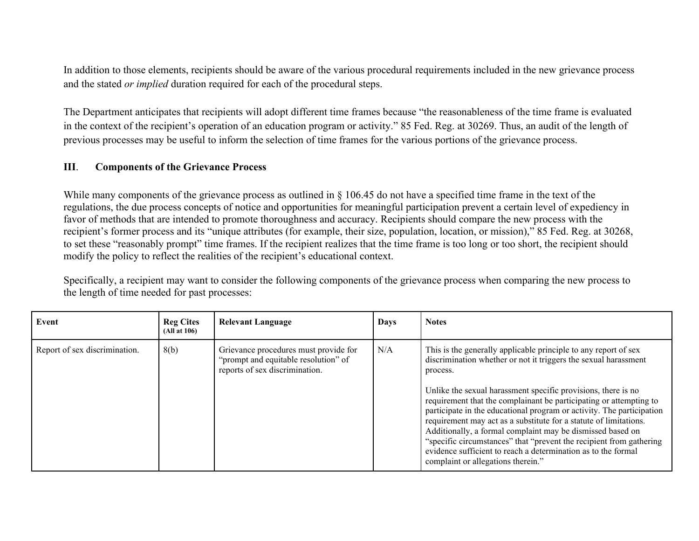In addition to those elements, recipients should be aware of the various procedural requirements included in the new grievance process and the stated *or implied* duration required for each of the procedural steps.

The Department anticipates that recipients will adopt different time frames because "the reasonableness of the time frame is evaluated in the context of the recipient's operation of an education program or activity." 85 Fed. Reg. at 30269. Thus, an audit of the length of previous processes may be useful to inform the selection of time frames for the various portions of the grievance process.

### **III**. **Components of the Grievance Process**

While many components of the grievance process as outlined in § 106.45 do not have a specified time frame in the text of the regulations, the due process concepts of notice and opportunities for meaningful participation prevent a certain level of expediency in favor of methods that are intended to promote thoroughness and accuracy. Recipients should compare the new process with the recipient's former process and its "unique attributes (for example, their size, population, location, or mission)," 85 Fed. Reg. at 30268, to set these "reasonably prompt" time frames. If the recipient realizes that the time frame is too long or too short, the recipient should modify the policy to reflect the realities of the recipient's educational context.

Specifically, a recipient may want to consider the following components of the grievance process when comparing the new process to the length of time needed for past processes:

| Event                         | <b>Reg Cites</b><br>$(All$ at 106) | <b>Relevant Language</b>                                                                                        | Days | <b>Notes</b>                                                                                                                                                                                                                                                                                                                                                                                                                                                                                                                                                                                                                                                                    |
|-------------------------------|------------------------------------|-----------------------------------------------------------------------------------------------------------------|------|---------------------------------------------------------------------------------------------------------------------------------------------------------------------------------------------------------------------------------------------------------------------------------------------------------------------------------------------------------------------------------------------------------------------------------------------------------------------------------------------------------------------------------------------------------------------------------------------------------------------------------------------------------------------------------|
| Report of sex discrimination. | 8(b)                               | Grievance procedures must provide for<br>"prompt and equitable resolution" of<br>reports of sex discrimination. | N/A  | This is the generally applicable principle to any report of sex<br>discrimination whether or not it triggers the sexual harassment<br>process.<br>Unlike the sexual harassment specific provisions, there is no<br>requirement that the complainant be participating or attempting to<br>participate in the educational program or activity. The participation<br>requirement may act as a substitute for a statute of limitations.<br>Additionally, a formal complaint may be dismissed based on<br>"specific circumstances" that "prevent the recipient from gathering<br>evidence sufficient to reach a determination as to the formal<br>complaint or allegations therein." |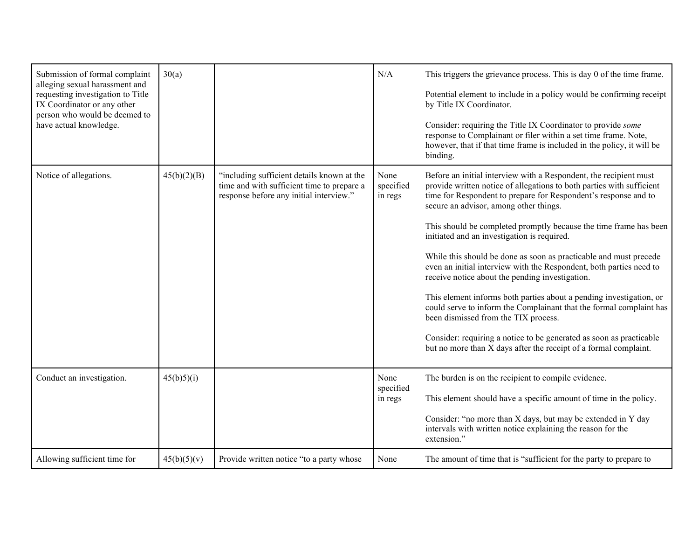| Submission of formal complaint<br>alleging sexual harassment and<br>requesting investigation to Title<br>IX Coordinator or any other<br>person who would be deemed to<br>have actual knowledge. | 30(a)       |                                                                                                                                     | N/A                          | This triggers the grievance process. This is day 0 of the time frame.<br>Potential element to include in a policy would be confirming receipt<br>by Title IX Coordinator.<br>Consider: requiring the Title IX Coordinator to provide some<br>response to Complainant or filer within a set time frame. Note,<br>however, that if that time frame is included in the policy, it will be<br>binding.                                                                                                                                                                                                                                                                                                                                                                                                                                                                                                          |
|-------------------------------------------------------------------------------------------------------------------------------------------------------------------------------------------------|-------------|-------------------------------------------------------------------------------------------------------------------------------------|------------------------------|-------------------------------------------------------------------------------------------------------------------------------------------------------------------------------------------------------------------------------------------------------------------------------------------------------------------------------------------------------------------------------------------------------------------------------------------------------------------------------------------------------------------------------------------------------------------------------------------------------------------------------------------------------------------------------------------------------------------------------------------------------------------------------------------------------------------------------------------------------------------------------------------------------------|
| Notice of allegations.                                                                                                                                                                          | 45(b)(2)(B) | "including sufficient details known at the<br>time and with sufficient time to prepare a<br>response before any initial interview." | None<br>specified<br>in regs | Before an initial interview with a Respondent, the recipient must<br>provide written notice of allegations to both parties with sufficient<br>time for Respondent to prepare for Respondent's response and to<br>secure an advisor, among other things.<br>This should be completed promptly because the time frame has been<br>initiated and an investigation is required.<br>While this should be done as soon as practicable and must precede<br>even an initial interview with the Respondent, both parties need to<br>receive notice about the pending investigation.<br>This element informs both parties about a pending investigation, or<br>could serve to inform the Complainant that the formal complaint has<br>been dismissed from the TIX process.<br>Consider: requiring a notice to be generated as soon as practicable<br>but no more than X days after the receipt of a formal complaint. |
| Conduct an investigation.                                                                                                                                                                       | 45(b)5(i)   |                                                                                                                                     | None<br>specified<br>in regs | The burden is on the recipient to compile evidence.<br>This element should have a specific amount of time in the policy.<br>Consider: "no more than X days, but may be extended in Y day<br>intervals with written notice explaining the reason for the<br>extension."                                                                                                                                                                                                                                                                                                                                                                                                                                                                                                                                                                                                                                      |
| Allowing sufficient time for                                                                                                                                                                    | 45(b)(5)(v) | Provide written notice "to a party whose                                                                                            | None                         | The amount of time that is "sufficient for the party to prepare to                                                                                                                                                                                                                                                                                                                                                                                                                                                                                                                                                                                                                                                                                                                                                                                                                                          |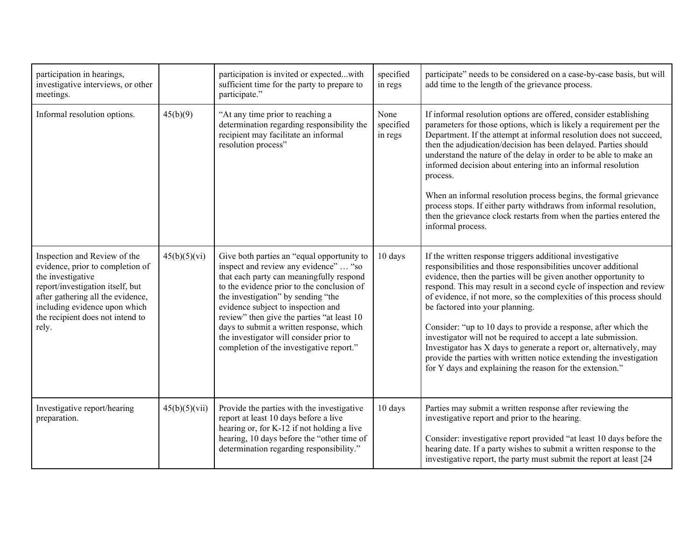| participation in hearings,<br>investigative interviews, or other<br>meetings.                                                                                                                                                                |               | participation is invited or expectedwith<br>sufficient time for the party to prepare to<br>participate."                                                                                                                                                                                                                                                                                                                                   | specified<br>in regs         | participate" needs to be considered on a case-by-case basis, but will<br>add time to the length of the grievance process.                                                                                                                                                                                                                                                                                                                                                                                                                                                                                                                                                                                                       |
|----------------------------------------------------------------------------------------------------------------------------------------------------------------------------------------------------------------------------------------------|---------------|--------------------------------------------------------------------------------------------------------------------------------------------------------------------------------------------------------------------------------------------------------------------------------------------------------------------------------------------------------------------------------------------------------------------------------------------|------------------------------|---------------------------------------------------------------------------------------------------------------------------------------------------------------------------------------------------------------------------------------------------------------------------------------------------------------------------------------------------------------------------------------------------------------------------------------------------------------------------------------------------------------------------------------------------------------------------------------------------------------------------------------------------------------------------------------------------------------------------------|
| Informal resolution options.                                                                                                                                                                                                                 | 45(b)(9)      | "At any time prior to reaching a<br>determination regarding responsibility the<br>recipient may facilitate an informal<br>resolution process"                                                                                                                                                                                                                                                                                              | None<br>specified<br>in regs | If informal resolution options are offered, consider establishing<br>parameters for those options, which is likely a requirement per the<br>Department. If the attempt at informal resolution does not succeed,<br>then the adjudication/decision has been delayed. Parties should<br>understand the nature of the delay in order to be able to make an<br>informed decision about entering into an informal resolution<br>process.<br>When an informal resolution process begins, the formal grievance<br>process stops. If either party withdraws from informal resolution,<br>then the grievance clock restarts from when the parties entered the<br>informal process.                                                       |
| Inspection and Review of the<br>evidence, prior to completion of<br>the investigative<br>report/investigation itself, but<br>after gathering all the evidence,<br>including evidence upon which<br>the recipient does not intend to<br>rely. | 45(b)(5)(vi)  | Give both parties an "equal opportunity to<br>inspect and review any evidence"  "so<br>that each party can meaningfully respond<br>to the evidence prior to the conclusion of<br>the investigation" by sending "the<br>evidence subject to inspection and<br>review" then give the parties "at least 10<br>days to submit a written response, which<br>the investigator will consider prior to<br>completion of the investigative report." | 10 days                      | If the written response triggers additional investigative<br>responsibilities and those responsibilities uncover additional<br>evidence, then the parties will be given another opportunity to<br>respond. This may result in a second cycle of inspection and review<br>of evidence, if not more, so the complexities of this process should<br>be factored into your planning.<br>Consider: "up to 10 days to provide a response, after which the<br>investigator will not be required to accept a late submission.<br>Investigator has X days to generate a report or, alternatively, may<br>provide the parties with written notice extending the investigation<br>for Y days and explaining the reason for the extension." |
| Investigative report/hearing<br>preparation.                                                                                                                                                                                                 | 45(b)(5)(vii) | Provide the parties with the investigative<br>report at least 10 days before a live<br>hearing or, for K-12 if not holding a live<br>hearing, 10 days before the "other time of<br>determination regarding responsibility."                                                                                                                                                                                                                | 10 days                      | Parties may submit a written response after reviewing the<br>investigative report and prior to the hearing.<br>Consider: investigative report provided "at least 10 days before the<br>hearing date. If a party wishes to submit a written response to the<br>investigative report, the party must submit the report at least [24]                                                                                                                                                                                                                                                                                                                                                                                              |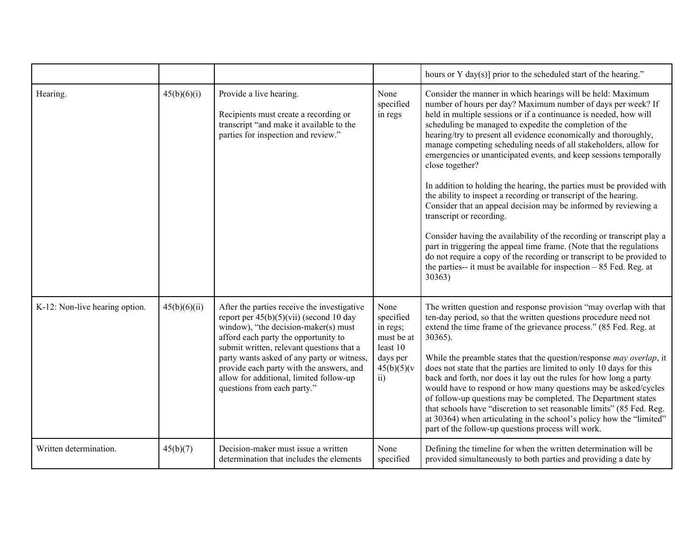|                                |              |                                                                                                                                                                                                                                                                                                                                                                                           |                                                                                                       | hours or Y day(s)] prior to the scheduled start of the hearing."                                                                                                                                                                                                                                                                                                                                                                                                                                                                                                                                                                                                                                                                                                                                                                                                                                                                                                                                                                                      |
|--------------------------------|--------------|-------------------------------------------------------------------------------------------------------------------------------------------------------------------------------------------------------------------------------------------------------------------------------------------------------------------------------------------------------------------------------------------|-------------------------------------------------------------------------------------------------------|-------------------------------------------------------------------------------------------------------------------------------------------------------------------------------------------------------------------------------------------------------------------------------------------------------------------------------------------------------------------------------------------------------------------------------------------------------------------------------------------------------------------------------------------------------------------------------------------------------------------------------------------------------------------------------------------------------------------------------------------------------------------------------------------------------------------------------------------------------------------------------------------------------------------------------------------------------------------------------------------------------------------------------------------------------|
| Hearing.                       | 45(b)(6)(i)  | Provide a live hearing.<br>Recipients must create a recording or<br>transcript "and make it available to the<br>parties for inspection and review."                                                                                                                                                                                                                                       | None<br>specified<br>in regs                                                                          | Consider the manner in which hearings will be held: Maximum<br>number of hours per day? Maximum number of days per week? If<br>held in multiple sessions or if a continuance is needed, how will<br>scheduling be managed to expedite the completion of the<br>hearing/try to present all evidence economically and thoroughly,<br>manage competing scheduling needs of all stakeholders, allow for<br>emergencies or unanticipated events, and keep sessions temporally<br>close together?<br>In addition to holding the hearing, the parties must be provided with<br>the ability to inspect a recording or transcript of the hearing.<br>Consider that an appeal decision may be informed by reviewing a<br>transcript or recording.<br>Consider having the availability of the recording or transcript play a<br>part in triggering the appeal time frame. (Note that the regulations<br>do not require a copy of the recording or transcript to be provided to<br>the parties-- it must be available for inspection $-85$ Fed. Reg. at<br>30363) |
| K-12: Non-live hearing option. | 45(b)(6)(ii) | After the parties receive the investigative<br>report per $45(b)(5)(vii)$ (second 10 day<br>window), "the decision-maker(s) must<br>afford each party the opportunity to<br>submit written, relevant questions that a<br>party wants asked of any party or witness,<br>provide each party with the answers, and<br>allow for additional, limited follow-up<br>questions from each party." | None<br>specified<br>in regs;<br>must be at<br>least 10<br>days per<br>45(b)(5)(v)<br>$\overline{ii}$ | The written question and response provision "may overlap with that<br>ten-day period, so that the written questions procedure need not<br>extend the time frame of the grievance process." (85 Fed. Reg. at<br>30365).<br>While the preamble states that the question/response may overlap, it<br>does not state that the parties are limited to only 10 days for this<br>back and forth, nor does it lay out the rules for how long a party<br>would have to respond or how many questions may be asked/cycles<br>of follow-up questions may be completed. The Department states<br>that schools have "discretion to set reasonable limits" (85 Fed. Reg.<br>at 30364) when articulating in the school's policy how the "limited"<br>part of the follow-up questions process will work.                                                                                                                                                                                                                                                              |
| Written determination.         | 45(b)(7)     | Decision-maker must issue a written<br>determination that includes the elements                                                                                                                                                                                                                                                                                                           | None<br>specified                                                                                     | Defining the timeline for when the written determination will be<br>provided simultaneously to both parties and providing a date by                                                                                                                                                                                                                                                                                                                                                                                                                                                                                                                                                                                                                                                                                                                                                                                                                                                                                                                   |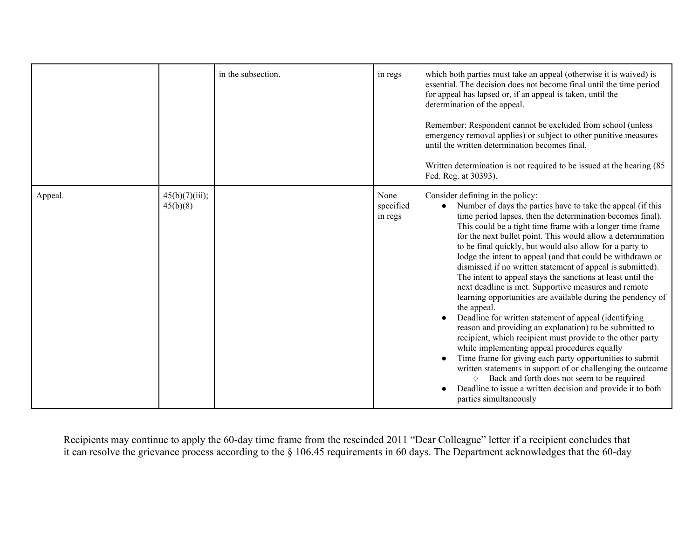|         |                            | in the subsection. | in regs                      | which both parties must take an appeal (otherwise it is waived) is<br>essential. The decision does not become final until the time period<br>for appeal has lapsed or, if an appeal is taken, until the<br>determination of the appeal.<br>Remember: Respondent cannot be excluded from school (unless<br>emergency removal applies) or subject to other punitive measures<br>until the written determination becomes final.<br>Written determination is not required to be issued at the hearing (85)<br>Fed. Reg. at 30393).                                                                                                                                                                                                                                                                                                                                                                                                                                                                                                                                                                                                                                                                       |
|---------|----------------------------|--------------------|------------------------------|------------------------------------------------------------------------------------------------------------------------------------------------------------------------------------------------------------------------------------------------------------------------------------------------------------------------------------------------------------------------------------------------------------------------------------------------------------------------------------------------------------------------------------------------------------------------------------------------------------------------------------------------------------------------------------------------------------------------------------------------------------------------------------------------------------------------------------------------------------------------------------------------------------------------------------------------------------------------------------------------------------------------------------------------------------------------------------------------------------------------------------------------------------------------------------------------------|
| Appeal. | 45(b)(7)(iii);<br>45(b)(8) |                    | None<br>specified<br>in regs | Consider defining in the policy:<br>Number of days the parties have to take the appeal (if this<br>time period lapses, then the determination becomes final).<br>This could be a tight time frame with a longer time frame<br>for the next bullet point. This would allow a determination<br>to be final quickly, but would also allow for a party to<br>lodge the intent to appeal (and that could be withdrawn or<br>dismissed if no written statement of appeal is submitted).<br>The intent to appeal stays the sanctions at least until the<br>next deadline is met. Supportive measures and remote<br>learning opportunities are available during the pendency of<br>the appeal.<br>Deadline for written statement of appeal (identifying<br>reason and providing an explanation) to be submitted to<br>recipient, which recipient must provide to the other party<br>while implementing appeal procedures equally<br>Time frame for giving each party opportunities to submit<br>written statements in support of or challenging the outcome<br><b>O</b> Back and forth does not seem to be required<br>Deadline to issue a written decision and provide it to both<br>parties simultaneously |

Recipients may continue to apply the 60-day time frame from the rescinded 2011 "Dear Colleague" letter if a recipient concludes that it can resolve the grievance process according to the § 106.45 requirements in 60 days. The Department acknowledges that the 60-day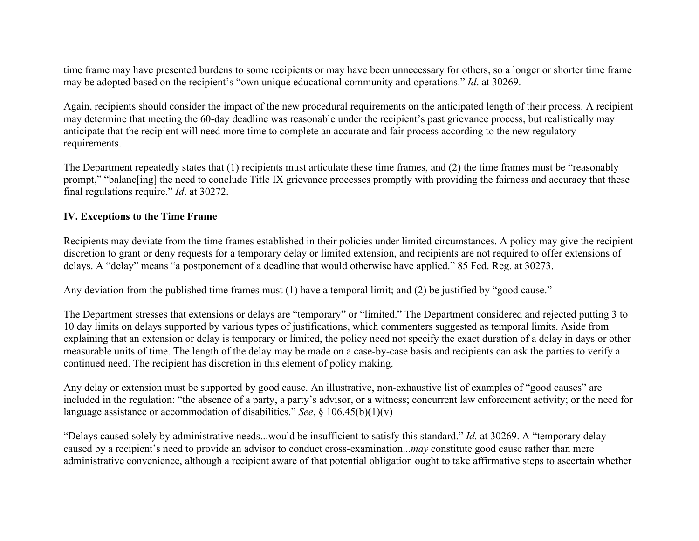time frame may have presented burdens to some recipients or may have been unnecessary for others, so a longer or shorter time frame may be adopted based on the recipient's "own unique educational community and operations." *Id*. at 30269.

Again, recipients should consider the impact of the new procedural requirements on the anticipated length of their process. A recipient may determine that meeting the 60-day deadline was reasonable under the recipient's past grievance process, but realistically may anticipate that the recipient will need more time to complete an accurate and fair process according to the new regulatory requirements.

The Department repeatedly states that (1) recipients must articulate these time frames, and (2) the time frames must be "reasonably prompt," "balance [ing] the need to conclude Title IX grievance processes promptly with providing the fairness and accuracy that these final regulations require." *Id*. at 30272.

#### **IV. Exceptions to the Time Frame**

Recipients may deviate from the time frames established in their policies under limited circumstances. A policy may give the recipient discretion to grant or deny requests for a temporary delay or limited extension, and recipients are not required to offer extensions of delays. A "delay" means "a postponement of a deadline that would otherwise have applied." 85 Fed. Reg. at 30273.

Any deviation from the published time frames must (1) have a temporal limit; and (2) be justified by "good cause."

The Department stresses that extensions or delays are "temporary" or "limited." The Department considered and rejected putting 3 to 10 day limits on delays supported by various types of justifications, which commenters suggested as temporal limits. Aside from explaining that an extension or delay is temporary or limited, the policy need not specify the exact duration of a delay in days or other measurable units of time. The length of the delay may be made on a case-by-case basis and recipients can ask the parties to verify a continued need. The recipient has discretion in this element of policy making.

Any delay or extension must be supported by good cause. An illustrative, non-exhaustive list of examples of "good causes" are included in the regulation: "the absence of a party, a party's advisor, or a witness; concurrent law enforcement activity; or the need for language assistance or accommodation of disabilities." *See*,  $\S$  106.45(b)(1)(v)

"Delays caused solely by administrative needs...would be insufficient to satisfy this standard." *Id.* at 30269. A "temporary delay caused by a recipient's need to provide an advisor to conduct cross-examination...*may* constitute good cause rather than mere administrative convenience, although a recipient aware of that potential obligation ought to take affirmative steps to ascertain whether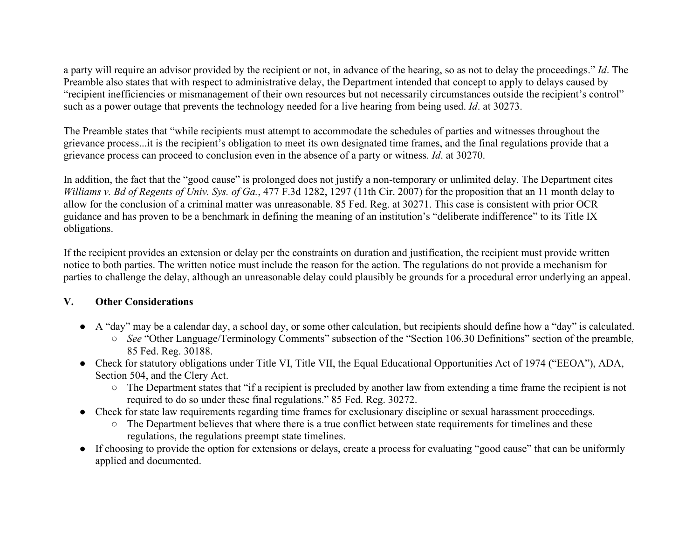a party will require an advisor provided by the recipient or not, in advance of the hearing, so as not to delay the proceedings." *Id*. The Preamble also states that with respect to administrative delay, the Department intended that concept to apply to delays caused by "recipient inefficiencies or mismanagement of their own resources but not necessarily circumstances outside the recipient's control" such as a power outage that prevents the technology needed for a live hearing from being used. *Id*. at 30273.

The Preamble states that "while recipients must attempt to accommodate the schedules of parties and witnesses throughout the grievance process...it is the recipient's obligation to meet its own designated time frames, and the final regulations provide that a grievance process can proceed to conclusion even in the absence of a party or witness. *Id*. at 30270.

In addition, the fact that the "good cause" is prolonged does not justify a non-temporary or unlimited delay. The Department cites *Williams v. Bd of Regents of Univ. Sys. of Ga.*, 477 F.3d 1282, 1297 (11th Cir. 2007) for the proposition that an 11 month delay to allow for the conclusion of a criminal matter was unreasonable. 85 Fed. Reg. at 30271. This case is consistent with prior OCR guidance and has proven to be a benchmark in defining the meaning of an institution's "deliberate indifference" to its Title IX obligations.

If the recipient provides an extension or delay per the constraints on duration and justification, the recipient must provide written notice to both parties. The written notice must include the reason for the action. The regulations do not provide a mechanism for parties to challenge the delay, although an unreasonable delay could plausibly be grounds for a procedural error underlying an appeal.

## **V. Other Considerations**

- A "day" may be a calendar day, a school day, or some other calculation, but recipients should define how a "day" is calculated. ○ *See* "Other Language/Terminology Comments" subsection of the "Section 106.30 Definitions" section of the preamble, 85 Fed. Reg. 30188.
- Check for statutory obligations under Title VI, Title VII, the Equal Educational Opportunities Act of 1974 ("EEOA"), ADA, Section 504, and the Clery Act.
	- The Department states that "if a recipient is precluded by another law from extending a time frame the recipient is not required to do so under these final regulations." 85 Fed. Reg. 30272.
- Check for state law requirements regarding time frames for exclusionary discipline or sexual harassment proceedings.
	- The Department believes that where there is a true conflict between state requirements for timelines and these regulations, the regulations preempt state timelines.
- If choosing to provide the option for extensions or delays, create a process for evaluating "good cause" that can be uniformly applied and documented.